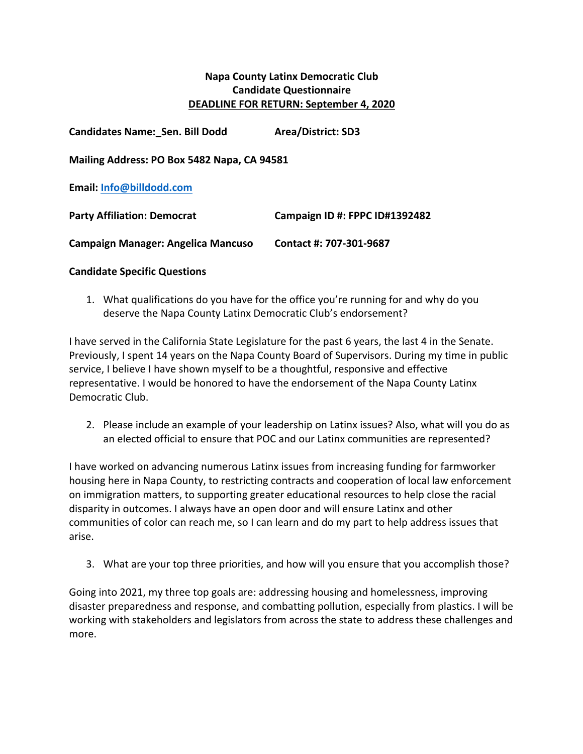## **Napa County Latinx Democratic Club Candidate Questionnaire DEADLINE FOR RETURN: September 4, 2020**

| <b>Candidates Name: Sen. Bill Dodd</b>      | <b>Area/District: SD3</b>      |
|---------------------------------------------|--------------------------------|
| Mailing Address: PO Box 5482 Napa, CA 94581 |                                |
| Email: Info@billdodd.com                    |                                |
| <b>Party Affiliation: Democrat</b>          | Campaign ID #: FPPC ID#1392482 |
| <b>Campaign Manager: Angelica Mancuso</b>   | Contact #: 707-301-9687        |

## **Candidate Specific Questions**

1. What qualifications do you have for the office you're running for and why do you deserve the Napa County Latinx Democratic Club's endorsement?

I have served in the California State Legislature for the past 6 years, the last 4 in the Senate. Previously, I spent 14 years on the Napa County Board of Supervisors. During my time in public service, I believe I have shown myself to be a thoughtful, responsive and effective representative. I would be honored to have the endorsement of the Napa County Latinx Democratic Club.

2. Please include an example of your leadership on Latinx issues? Also, what will you do as an elected official to ensure that POC and our Latinx communities are represented?

I have worked on advancing numerous Latinx issues from increasing funding for farmworker housing here in Napa County, to restricting contracts and cooperation of local law enforcement on immigration matters, to supporting greater educational resources to help close the racial disparity in outcomes. I always have an open door and will ensure Latinx and other communities of color can reach me, so I can learn and do my part to help address issues that arise. 

3. What are your top three priorities, and how will you ensure that you accomplish those?

Going into 2021, my three top goals are: addressing housing and homelessness, improving disaster preparedness and response, and combatting pollution, especially from plastics. I will be working with stakeholders and legislators from across the state to address these challenges and more.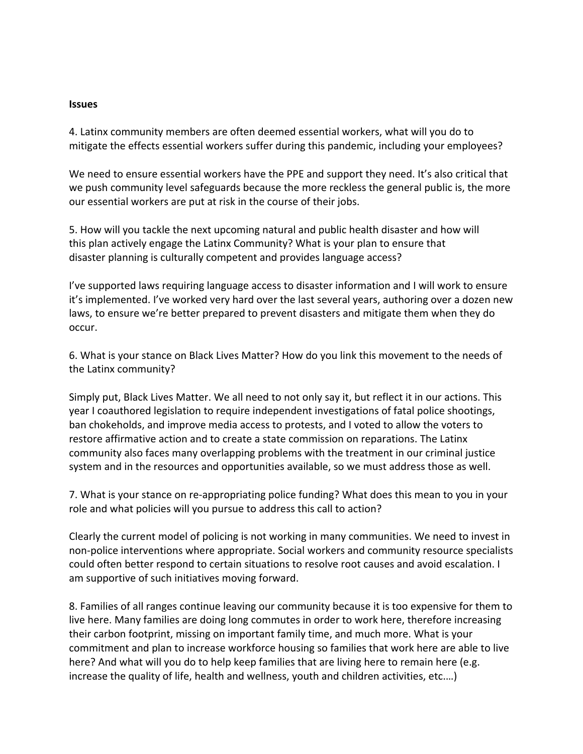## **Issues**

4. Latinx community members are often deemed essential workers, what will you do to mitigate the effects essential workers suffer during this pandemic, including your employees?

We need to ensure essential workers have the PPE and support they need. It's also critical that we push community level safeguards because the more reckless the general public is, the more our essential workers are put at risk in the course of their jobs.

5. How will you tackle the next upcoming natural and public health disaster and how will this plan actively engage the Latinx Community? What is your plan to ensure that disaster planning is culturally competent and provides language access?

I've supported laws requiring language access to disaster information and I will work to ensure it's implemented. I've worked very hard over the last several years, authoring over a dozen new laws, to ensure we're better prepared to prevent disasters and mitigate them when they do occur. 

6. What is your stance on Black Lives Matter? How do you link this movement to the needs of the Latinx community?

Simply put, Black Lives Matter. We all need to not only say it, but reflect it in our actions. This year I coauthored legislation to require independent investigations of fatal police shootings, ban chokeholds, and improve media access to protests, and I voted to allow the voters to restore affirmative action and to create a state commission on reparations. The Latinx community also faces many overlapping problems with the treatment in our criminal justice system and in the resources and opportunities available, so we must address those as well.

7. What is your stance on re-appropriating police funding? What does this mean to you in your role and what policies will you pursue to address this call to action?

Clearly the current model of policing is not working in many communities. We need to invest in non-police interventions where appropriate. Social workers and community resource specialists could often better respond to certain situations to resolve root causes and avoid escalation. I am supportive of such initiatives moving forward.

8. Families of all ranges continue leaving our community because it is too expensive for them to live here. Many families are doing long commutes in order to work here, therefore increasing their carbon footprint, missing on important family time, and much more. What is your commitment and plan to increase workforce housing so families that work here are able to live here? And what will you do to help keep families that are living here to remain here (e.g. increase the quality of life, health and wellness, youth and children activities, etc....)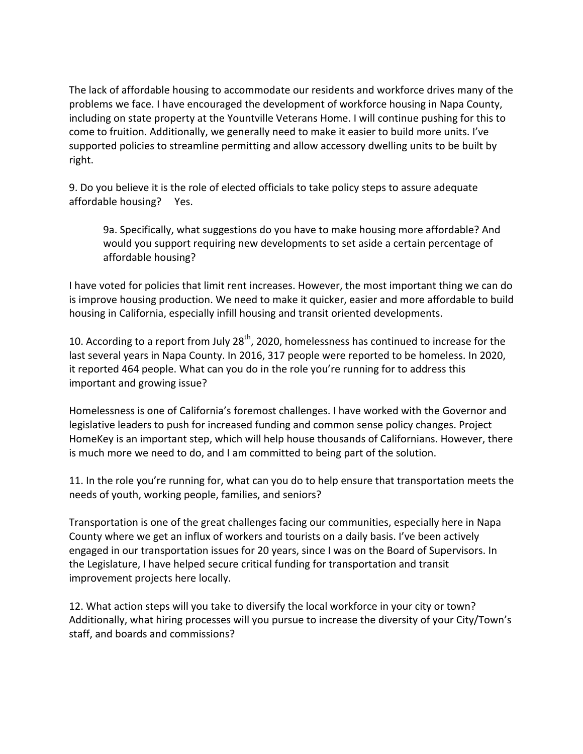The lack of affordable housing to accommodate our residents and workforce drives many of the problems we face. I have encouraged the development of workforce housing in Napa County, including on state property at the Yountville Veterans Home. I will continue pushing for this to come to fruition. Additionally, we generally need to make it easier to build more units. I've supported policies to streamline permitting and allow accessory dwelling units to be built by right. 

9. Do you believe it is the role of elected officials to take policy steps to assure adequate affordable housing? Yes.

9a. Specifically, what suggestions do you have to make housing more affordable? And would you support requiring new developments to set aside a certain percentage of affordable housing?

I have voted for policies that limit rent increases. However, the most important thing we can do is improve housing production. We need to make it quicker, easier and more affordable to build housing in California, especially infill housing and transit oriented developments.

10. According to a report from July  $28^{th}$ , 2020, homelessness has continued to increase for the last several years in Napa County. In 2016, 317 people were reported to be homeless. In 2020, it reported 464 people. What can you do in the role you're running for to address this important and growing issue?

Homelessness is one of California's foremost challenges. I have worked with the Governor and legislative leaders to push for increased funding and common sense policy changes. Project HomeKey is an important step, which will help house thousands of Californians. However, there is much more we need to do, and I am committed to being part of the solution.

11. In the role you're running for, what can you do to help ensure that transportation meets the needs of youth, working people, families, and seniors?

Transportation is one of the great challenges facing our communities, especially here in Napa County where we get an influx of workers and tourists on a daily basis. I've been actively engaged in our transportation issues for 20 years, since I was on the Board of Supervisors. In the Legislature, I have helped secure critical funding for transportation and transit improvement projects here locally.

12. What action steps will you take to diversify the local workforce in your city or town? Additionally, what hiring processes will you pursue to increase the diversity of your City/Town's staff, and boards and commissions?